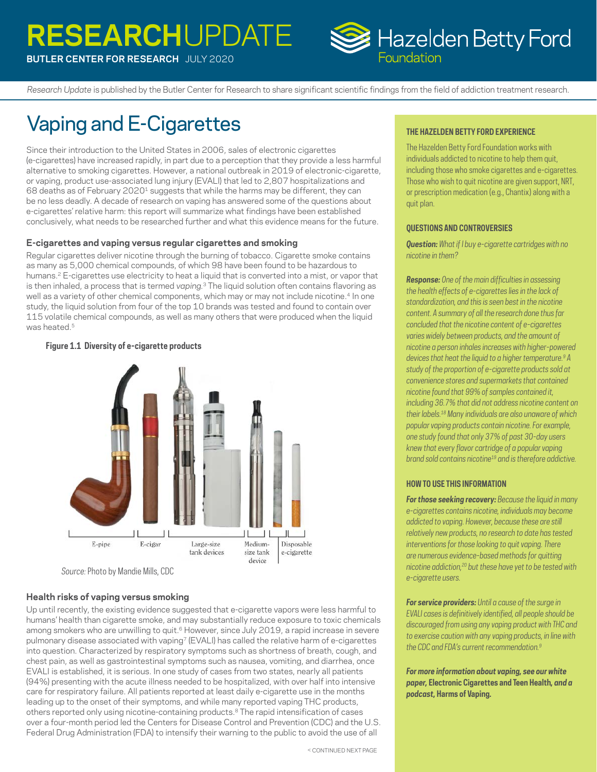# **RESEARCH**UPDATE



*Research Update* is published by the Butler Center for Research to share significant scientific findings from the field of addiction treatment research.

# Vaping and E-Cigarettes

**BUTLER CENTER FOR RESEARCH** JULY 2020

Since their introduction to the United States in 2006, sales of electronic cigarettes (e-cigarettes) have increased rapidly, in part due to a perception that they provide a less harmful alternative to smoking cigarettes. However, a national outbreak in 2019 of electronic-cigarette, or vaping, product use-associated lung injury (EVALI) that led to 2,807 hospitalizations and 68 deaths as of February 2020<sup>1</sup> suggests that while the harms may be different, they can be no less deadly. A decade of research on vaping has answered some of the questions about e-cigarettes' relative harm: this report will summarize what findings have been established conclusively, what needs to be researched further and what this evidence means for the future.

#### **E-cigarettes and vaping versus regular cigarettes and smoking**

Regular cigarettes deliver nicotine through the burning of tobacco. Cigarette smoke contains as many as 5,000 chemical compounds, of which 98 have been found to be hazardous to humans.<sup>2</sup> E-cigarettes use electricity to heat a liquid that is converted into a mist, or vapor that is then inhaled, a process that is termed *vaping.*[3](#page-1-2) The liquid solution often contains flavoring as well as a variety of other chemical components, which may or may not include nicotine.<sup>[4](#page-1-3)</sup> In one study, the liquid solution from four of the top 10 brands was tested and found to contain over 115 volatile chemical compounds, as well as many others that were produced when the liquid was heated.<sup>5</sup>

# Ш E-pipe E-cigar Large-size Medium-Disposable tank devices size tank e-cigarette device

#### **Figure 1.1 Diversity of e-cigarette products**

*Source:* Photo by Mandie Mills, CDC

### **Health risks of vaping versus smoking**

Up until recently, the existing evidence suggested that e-cigarette vapors were less harmful to humans' health than cigarette smoke, and may substantially reduce exposure to toxic chemicals among smokers who are unwilling to quit.<sup>[6](#page-1-5)</sup> However, since July 2019, a rapid increase in severe pulmonary disease associated with vapin[g7](#page-1-6) (EVALI) has called the relative harm of e-cigarettes into question. Characterized by respiratory symptoms such as shortness of breath, cough, and chest pain, as well as gastrointestinal symptoms such as nausea, vomiting, and diarrhea, once EVALI is established, it is serious. In one study of cases from two states, nearly all patients (94%) presenting with the acute illness needed to be hospitalized, with over half into intensive care for respiratory failure. All patients reported at least daily e-cigarette use in the months leading up to the onset of their symptoms, and while many reported vaping THC products, others reported only using nicotine-containing products.<sup>8</sup> The rapid intensification of cases over a four-month period led the Centers for Disease Control and Prevention (CDC) and the U.S. Federal Drug Administration (FDA) to intensify their warning to the public to avoid the use of all

#### **THE HAZELDEN BETTY FORD EXPERIENCE**

The Hazelden Betty Ford Foundation works with individuals addicted to nicotine to help them quit, including those who smoke cigarettes and e-cigarettes. Those who wish to quit nicotine are given support, NRT, or prescription medication (e.g., Chantix) along with a quit plan.

#### **QUESTIONS AND CONTROVERSIES**

*Question: What if I buy e-cigarette cartridges with no nicotine in them?* 

*Response: One of the main difficulties in assessing the health effects of e-cigarettes lies in the lack of standardization, and this is seen best in the nicotine content. A summary of all the research done thus far concluded that the nicotine content of e-cigarettes varies widely between products, and the amount of nicotine a person inhales increases with higher-powered devices that heat the liquid to a higher temperature.[9](#page-1-8) A study of the proportion of e-cigarette products sold at convenience stores and supermarkets that contained nicotine found that 99% of samples contained it, including 36.7% that did not address nicotine content on their labels[.18](#page-1-9) Many individuals are also unaware of which popular vaping products contain nicotine. For example, one study found that only 37% of past 30-day users knew that every flavor cartridge of a popular vaping brand sold contains nicotin[e19](#page-1-10) and is therefore addictive.* 

#### **HOW TO USE THIS INFORMATION**

*For those seeking recovery: Because the liquid in many e-cigarettes contains nicotine, individuals may become addicted to vaping. However, because these are still relatively new products, no research to date has tested interventions for those looking to quit vaping. There are numerous evidence-based methods for quitting nicotine addiction,[20](#page-1-11) but these have yet to be tested with e-cigarette users.* 

*For service providers: Until a cause of the surge in EVALI cases is definitively identified, all people should be discouraged from using any vaping product with THC and to exercise caution with any vaping products, in line with the CDC and FDA's current recommendation[.9](#page-1-8)* 

*For more information about vaping, see our white paper,* **Electronic Cigarettes and Teen Health***, and a podcast,* **Harms of Vaping***.*